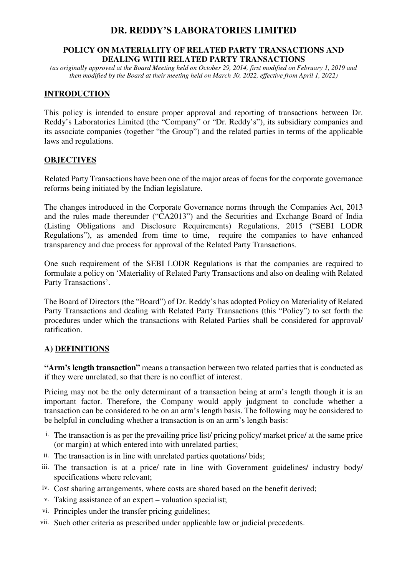# **DR. REDDY'S LABORATORIES LIMITED**

#### **POLICY ON MATERIALITY OF RELATED PARTY TRANSACTIONS AND DEALING WITH RELATED PARTY TRANSACTIONS**

*(as originally approved at the Board Meeting held on October 29, 2014, first modified on February 1, 2019 and then modified by the Board at their meeting held on March 30, 2022, effective from April 1, 2022)* 

### **INTRODUCTION**

This policy is intended to ensure proper approval and reporting of transactions between Dr. Reddy's Laboratories Limited (the "Company" or "Dr. Reddy's"), its subsidiary companies and its associate companies (together "the Group") and the related parties in terms of the applicable laws and regulations.

#### **OBJECTIVES**

Related Party Transactions have been one of the major areas of focus for the corporate governance reforms being initiated by the Indian legislature.

The changes introduced in the Corporate Governance norms through the Companies Act, 2013 and the rules made thereunder ("CA2013") and the Securities and Exchange Board of India (Listing Obligations and Disclosure Requirements) Regulations, 2015 ("SEBI LODR Regulations"), as amended from time to time, require the companies to have enhanced transparency and due process for approval of the Related Party Transactions.

One such requirement of the SEBI LODR Regulations is that the companies are required to formulate a policy on 'Materiality of Related Party Transactions and also on dealing with Related Party Transactions'.

The Board of Directors (the "Board") of Dr. Reddy's has adopted Policy on Materiality of Related Party Transactions and dealing with Related Party Transactions (this "Policy") to set forth the procedures under which the transactions with Related Parties shall be considered for approval/ ratification.

#### **A) DEFINITIONS**

**"Arm's length transaction"** means a transaction between two related parties that is conducted as if they were unrelated, so that there is no conflict of interest.

Pricing may not be the only determinant of a transaction being at arm's length though it is an important factor. Therefore, the Company would apply judgment to conclude whether a transaction can be considered to be on an arm's length basis. The following may be considered to be helpful in concluding whether a transaction is on an arm's length basis:

- i. The transaction is as per the prevailing price list/ pricing policy/ market price/ at the same price (or margin) at which entered into with unrelated parties;
- ii. The transaction is in line with unrelated parties quotations/ bids;
- iii. The transaction is at a price/ rate in line with Government guidelines/ industry body/ specifications where relevant;
- iv. Cost sharing arrangements, where costs are shared based on the benefit derived;
- v. Taking assistance of an expert valuation specialist;
- vi. Principles under the transfer pricing guidelines;
- vii. Such other criteria as prescribed under applicable law or judicial precedents.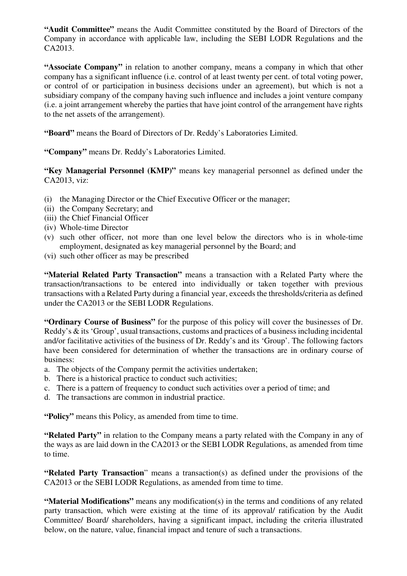**"Audit Committee"** means the Audit Committee constituted by the Board of Directors of the Company in accordance with applicable law, including the SEBI LODR Regulations and the CA2013.

**"Associate Company"** in relation to another company, means a company in which that other company has a significant influence (i.e. control of at least twenty per cent. of total voting power, or control of or participation in business decisions under an agreement), but which is not a subsidiary company of the company having such influence and includes a joint venture company (i.e. a joint arrangement whereby the parties that have joint control of the arrangement have rights to the net assets of the arrangement).

**"Board"** means the Board of Directors of Dr. Reddy's Laboratories Limited.

**"Company"** means Dr. Reddy's Laboratories Limited.

**"Key Managerial Personnel (KMP)"** means key managerial personnel as defined under the CA2013, viz:

- (i) the Managing Director or the Chief Executive Officer or the manager;
- (ii) the Company Secretary; and
- (iii) the Chief Financial Officer
- (iv) Whole-time Director
- (v) such other officer, not more than one level below the directors who is in whole-time employment, designated as key managerial personnel by the Board; and
- (vi) such other officer as may be prescribed

**"Material Related Party Transaction"** means a transaction with a Related Party where the transaction/transactions to be entered into individually or taken together with previous transactions with a Related Party during a financial year, exceeds the thresholds/criteria as defined under the CA2013 or the SEBI LODR Regulations.

**"Ordinary Course of Business"** for the purpose of this policy will cover the businesses of Dr. Reddy's & its 'Group', usual transactions, customs and practices of a business including incidental and/or facilitative activities of the business of Dr. Reddy's and its 'Group'. The following factors have been considered for determination of whether the transactions are in ordinary course of business:

- a. The objects of the Company permit the activities undertaken;
- b. There is a historical practice to conduct such activities;
- c. There is a pattern of frequency to conduct such activities over a period of time; and
- d. The transactions are common in industrial practice.

**"Policy"** means this Policy, as amended from time to time.

**"Related Party"** in relation to the Company means a party related with the Company in any of the ways as are laid down in the CA2013 or the SEBI LODR Regulations, as amended from time to time.

**"Related Party Transaction**" means a transaction(s) as defined under the provisions of the CA2013 or the SEBI LODR Regulations, as amended from time to time.

**"Material Modifications"** means any modification(s) in the terms and conditions of any related party transaction, which were existing at the time of its approval/ ratification by the Audit Committee/ Board/ shareholders, having a significant impact, including the criteria illustrated below, on the nature, value, financial impact and tenure of such a transactions.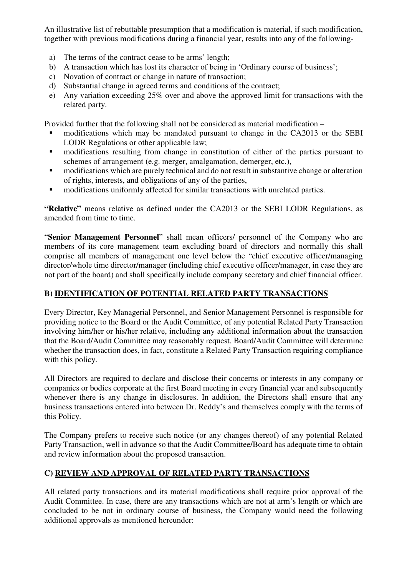An illustrative list of rebuttable presumption that a modification is material, if such modification, together with previous modifications during a financial year, results into any of the following-

- a) The terms of the contract cease to be arms' length;
- b) A transaction which has lost its character of being in 'Ordinary course of business';
- c) Novation of contract or change in nature of transaction;
- d) Substantial change in agreed terms and conditions of the contract;
- e) Any variation exceeding 25% over and above the approved limit for transactions with the related party.

Provided further that the following shall not be considered as material modification –

- modifications which may be mandated pursuant to change in the CA2013 or the SEBI LODR Regulations or other applicable law;
- modifications resulting from change in constitution of either of the parties pursuant to schemes of arrangement (e.g. merger, amalgamation, demerger, etc.),
- **EXECUTE:** modifications which are purely technical and do not result in substantive change or alteration of rights, interests, and obligations of any of the parties,
- **n** modifications uniformly affected for similar transactions with unrelated parties.

**"Relative"** means relative as defined under the CA2013 or the SEBI LODR Regulations, as amended from time to time.

"**Senior Management Personnel**" shall mean officers/ personnel of the Company who are members of its core management team excluding board of directors and normally this shall comprise all members of management one level below the "chief executive officer/managing director/whole time director/manager (including chief executive officer/manager, in case they are not part of the board) and shall specifically include company secretary and chief financial officer.

### **B) IDENTIFICATION OF POTENTIAL RELATED PARTY TRANSACTIONS**

Every Director, Key Managerial Personnel, and Senior Management Personnel is responsible for providing notice to the Board or the Audit Committee, of any potential Related Party Transaction involving him/her or his/her relative, including any additional information about the transaction that the Board/Audit Committee may reasonably request. Board/Audit Committee will determine whether the transaction does, in fact, constitute a Related Party Transaction requiring compliance with this policy.

All Directors are required to declare and disclose their concerns or interests in any company or companies or bodies corporate at the first Board meeting in every financial year and subsequently whenever there is any change in disclosures. In addition, the Directors shall ensure that any business transactions entered into between Dr. Reddy's and themselves comply with the terms of this Policy.

The Company prefers to receive such notice (or any changes thereof) of any potential Related Party Transaction, well in advance so that the Audit Committee/Board has adequate time to obtain and review information about the proposed transaction.

### **C) REVIEW AND APPROVAL OF RELATED PARTY TRANSACTIONS**

All related party transactions and its material modifications shall require prior approval of the Audit Committee. In case, there are any transactions which are not at arm's length or which are concluded to be not in ordinary course of business, the Company would need the following additional approvals as mentioned hereunder: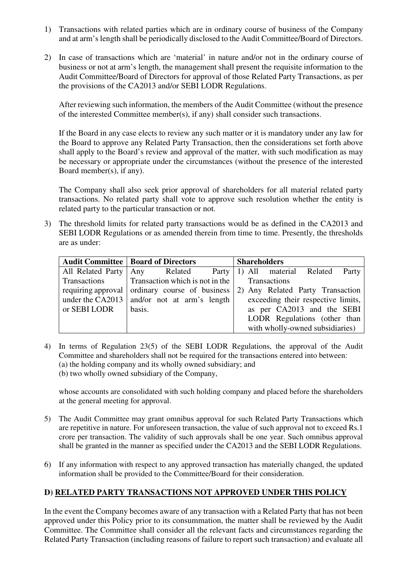- 1) Transactions with related parties which are in ordinary course of business of the Company and at arm's length shall be periodically disclosed to the Audit Committee/Board of Directors.
- 2) In case of transactions which are 'material' in nature and/or not in the ordinary course of business or not at arm's length, the management shall present the requisite information to the Audit Committee/Board of Directors for approval of those Related Party Transactions, as per the provisions of the CA2013 and/or SEBI LODR Regulations.

After reviewing such information, the members of the Audit Committee (without the presence of the interested Committee member(s), if any) shall consider such transactions.

If the Board in any case elects to review any such matter or it is mandatory under any law for the Board to approve any Related Party Transaction, then the considerations set forth above shall apply to the Board's review and approval of the matter, with such modification as may be necessary or appropriate under the circumstances (without the presence of the interested Board member(s), if any).

The Company shall also seek prior approval of shareholders for all material related party transactions. No related party shall vote to approve such resolution whether the entity is related party to the particular transaction or not.

3) The threshold limits for related party transactions would be as defined in the CA2013 and SEBI LODR Regulations or as amended therein from time to time. Presently, the thresholds are as under:

|              | <b>Audit Committee   Board of Directors</b>   | <b>Shareholders</b>                                                               |
|--------------|-----------------------------------------------|-----------------------------------------------------------------------------------|
|              |                                               | All Related Party   Any  Related  Party   1) All  material  Related<br>Party      |
| Transactions | Transaction which is not in the               | <b>Transactions</b>                                                               |
|              |                                               | requiring approval   ordinary course of business 2) Any Related Party Transaction |
|              | under the CA2013   and/or not at arm's length | exceeding their respective limits,                                                |
| or SEBI LODR | basis.                                        | as per CA2013 and the SEBI                                                        |
|              |                                               | LODR Regulations (other than                                                      |
|              |                                               | with wholly-owned subsidiaries)                                                   |

4) In terms of Regulation 23(5) of the SEBI LODR Regulations, the approval of the Audit Committee and shareholders shall not be required for the transactions entered into between: (a) the holding company and its wholly owned subsidiary; and (b) two wholly owned subsidiary of the Company,

whose accounts are consolidated with such holding company and placed before the shareholders at the general meeting for approval.

- 5) The Audit Committee may grant omnibus approval for such Related Party Transactions which are repetitive in nature. For unforeseen transaction, the value of such approval not to exceed Rs.1 crore per transaction. The validity of such approvals shall be one year. Such omnibus approval shall be granted in the manner as specified under the CA2013 and the SEBI LODR Regulations.
- 6) If any information with respect to any approved transaction has materially changed, the updated information shall be provided to the Committee/Board for their consideration.

### **D) RELATED PARTY TRANSACTIONS NOT APPROVED UNDER THIS POLICY**

In the event the Company becomes aware of any transaction with a Related Party that has not been approved under this Policy prior to its consummation, the matter shall be reviewed by the Audit Committee. The Committee shall consider all the relevant facts and circumstances regarding the Related Party Transaction (including reasons of failure to report such transaction) and evaluate all